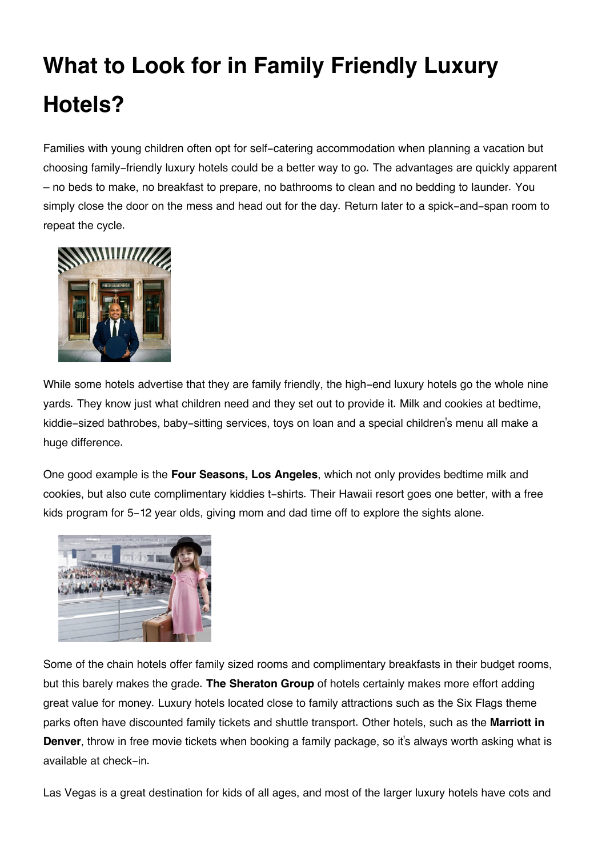## **What to Look for in Family Friendly Luxury Hotels?**

Families with young children often opt for self-catering accommodation when planning a vacation but choosing family-friendly luxury hotels could be a better way to go. The advantages are quickly apparent – no beds to make, no breakfast to prepare, no bathrooms to clean and no bedding to launder. You simply close the door on the mess and head out for the day. Return later to a spick-and-span room to repeat the cycle.



While some hotels advertise that they are family friendly, the high-end luxury hotels go the whole nine yards. They know just what children need and they set out to provide it. Milk and cookies at bedtime, kiddie-sized bathrobes, baby-sitting services, toys on loan and a special children's menu all make a huge difference.

One good example is the **Four Seasons, Los Angeles**, which not only provides bedtime milk and cookies, but also cute complimentary kiddies t-shirts. Their Hawaii resort goes one better, with a free kids program for 5-12 year olds, giving mom and dad time off to explore the sights alone.



Some of the chain hotels offer family sized rooms and complimentary breakfasts in their budget rooms, but this barely makes the grade. **The Sheraton Group** of hotels certainly makes more effort adding great value for money. Luxury hotels located close to family attractions such as the Six Flags theme parks often have discounted family tickets and shuttle transport. Other hotels, such as the **Marriott in Denver**, throw in free movie tickets when booking a family package, so it's always worth asking what is available at check-in.

Las Vegas is a great destination for kids of all ages, and most of the larger luxury hotels have cots and